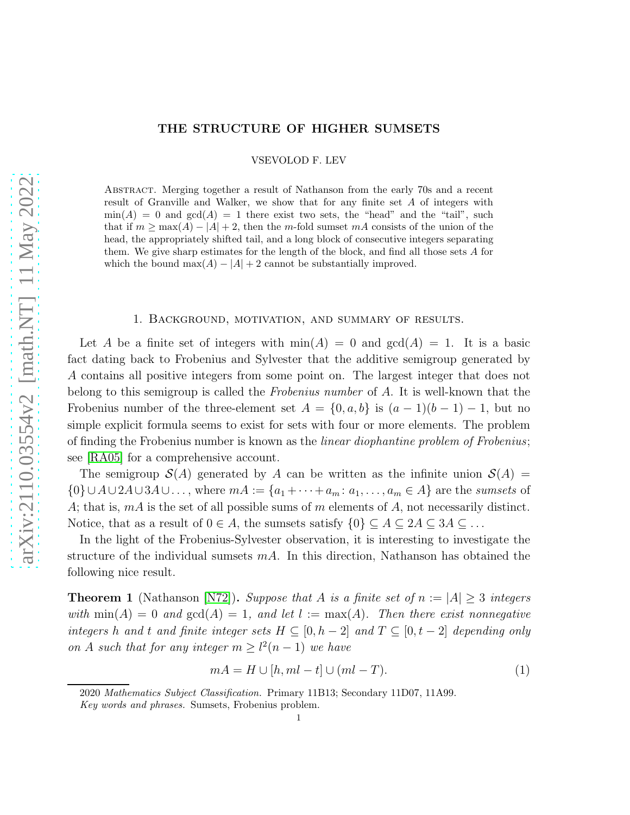### THE STRUCTURE OF HIGHER SUMSETS

VSEVOLOD F. LEV

Abstract. Merging together a result of Nathanson from the early 70s and a recent result of Granville and Walker, we show that for any finite set A of integers with  $\min(A) = 0$  and  $\gcd(A) = 1$  there exist two sets, the "head" and the "tail", such that if  $m \ge \max(A) - |A| + 2$ , then the m-fold sumset mA consists of the union of the head, the appropriately shifted tail, and a long block of consecutive integers separating them. We give sharp estimates for the length of the block, and find all those sets A for which the bound max $(A) - |A| + 2$  cannot be substantially improved.

#### 1. Background, motivation, and summary of results.

Let A be a finite set of integers with  $\min(A) = 0$  and  $\gcd(A) = 1$ . It is a basic fact dating back to Frobenius and Sylvester that the additive semigroup generated by A contains all positive integers from some point on. The largest integer that does not belong to this semigroup is called the Frobenius number of A. It is well-known that the Frobenius number of the three-element set  $A = \{0, a, b\}$  is  $(a - 1)(b - 1) - 1$ , but no simple explicit formula seems to exist for sets with four or more elements. The problem of finding the Frobenius number is known as the linear diophantine problem of Frobenius; see [\[RA05\]](#page-14-0) for a comprehensive account.

The semigroup  $\mathcal{S}(A)$  generated by A can be written as the infinite union  $\mathcal{S}(A)$  =  $\{0\} \cup A \cup 2A \cup 3A \cup \ldots$ , where  $mA := \{a_1 + \cdots + a_m : a_1, \ldots, a_m \in A\}$  are the sumsets of A; that is,  $mA$  is the set of all possible sums of  $m$  elements of  $A$ , not necessarily distinct. Notice, that as a result of  $0 \in A$ , the sumsets satisfy  $\{0\} \subseteq A \subseteq 2A \subseteq 3A \subseteq ...$ 

In the light of the Frobenius-Sylvester observation, it is interesting to investigate the structure of the individual sumsets  $mA$ . In this direction, Nathanson has obtained the following nice result.

<span id="page-0-0"></span>**Theorem 1** (Nathanson [\[N72\]](#page-14-1)). Suppose that A is a finite set of  $n := |A| \geq 3$  integers with  $\min(A) = 0$  and  $\gcd(A) = 1$ , and let  $l := \max(A)$ . Then there exist nonnegative integers h and t and finite integer sets  $H \subseteq [0, h-2]$  and  $T \subseteq [0, t-2]$  depending only on A such that for any integer  $m \geq l^2(n-1)$  we have

<span id="page-0-1"></span>
$$
mA = H \cup [h, ml - t] \cup (ml - T). \tag{1}
$$

<sup>2020</sup> Mathematics Subject Classification. Primary 11B13; Secondary 11D07, 11A99.

Key words and phrases. Sumsets, Frobenius problem.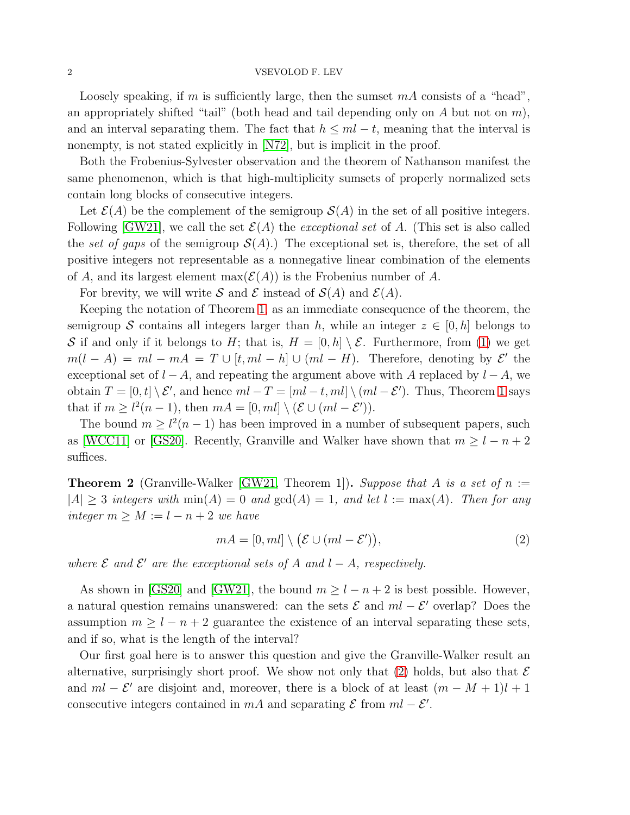Loosely speaking, if m is sufficiently large, then the sumset  $mA$  consists of a "head", an appropriately shifted "tail" (both head and tail depending only on  $A$  but not on  $m$ ), and an interval separating them. The fact that  $h \leq ml - t$ , meaning that the interval is nonempty, is not stated explicitly in [\[N72\]](#page-14-1), but is implicit in the proof.

Both the Frobenius-Sylvester observation and the theorem of Nathanson manifest the same phenomenon, which is that high-multiplicity sumsets of properly normalized sets contain long blocks of consecutive integers.

Let  $\mathcal{E}(A)$  be the complement of the semigroup  $\mathcal{S}(A)$  in the set of all positive integers. Following [\[GW21\]](#page-14-2), we call the set  $\mathcal{E}(A)$  the *exceptional set* of A. (This set is also called the set of gaps of the semigroup  $\mathcal{S}(A)$ .) The exceptional set is, therefore, the set of all positive integers not representable as a nonnegative linear combination of the elements of A, and its largest element max $(\mathcal{E}(A))$  is the Frobenius number of A.

For brevity, we will write S and E instead of  $\mathcal{S}(A)$  and  $\mathcal{E}(A)$ .

Keeping the notation of Theorem [1,](#page-0-0) as an immediate consequence of the theorem, the semigroup S contains all integers larger than h, while an integer  $z \in [0, h]$  belongs to S if and only if it belongs to H; that is,  $H = [0, h] \setminus \mathcal{E}$ . Furthermore, from [\(1\)](#page-0-1) we get  $m(l - A) = ml - mA = T \cup [t, ml - h] \cup (ml - H)$ . Therefore, denoting by  $\mathcal{E}'$  the exceptional set of  $l - A$ , and repeating the argument above with A replaced by  $l - A$ , we obtain  $T = [0, t] \setminus \mathcal{E}'$ , and hence  $ml - T = [ml - t, ml] \setminus (ml - \mathcal{E}')$ . Thus, Theorem [1](#page-0-0) says that if  $m \geq l^2(n-1)$ , then  $mA = [0, ml] \setminus (\mathcal{E} \cup (ml - \mathcal{E}')).$ 

The bound  $m \geq l^2(n-1)$  has been improved in a number of subsequent papers, such as [\[WCC11\]](#page-14-3) or [\[GS20\]](#page-14-4). Recently, Granville and Walker have shown that  $m \geq l - n + 2$ suffices.

**Theorem 2** (Granville-Walker [\[GW21,](#page-14-2) Theorem 1]). Suppose that A is a set of  $n :=$  $|A| \geq 3$  integers with  $min(A) = 0$  and  $gcd(A) = 1$ , and let  $l := max(A)$ . Then for any integer  $m \geq M := l - n + 2$  we have

<span id="page-1-0"></span>
$$
mA = [0, ml] \setminus (\mathcal{E} \cup (ml - \mathcal{E}')), \tag{2}
$$

where  $\mathcal E$  and  $\mathcal E'$  are the exceptional sets of A and  $l - A$ , respectively.

As shown in [\[GS20\]](#page-14-4) and [\[GW21\]](#page-14-2), the bound  $m \geq l - n + 2$  is best possible. However, a natural question remains unanswered: can the sets  $\mathcal E$  and  $ml - \mathcal E'$  overlap? Does the assumption  $m \geq l - n + 2$  guarantee the existence of an interval separating these sets, and if so, what is the length of the interval?

Our first goal here is to answer this question and give the Granville-Walker result an alternative, surprisingly short proof. We show not only that  $(2)$  holds, but also that  $\mathcal E$ and  $ml - \mathcal{E}'$  are disjoint and, moreover, there is a block of at least  $(m - M + 1)l + 1$ consecutive integers contained in mA and separating  $\mathcal E$  from  $ml - \mathcal E'$ .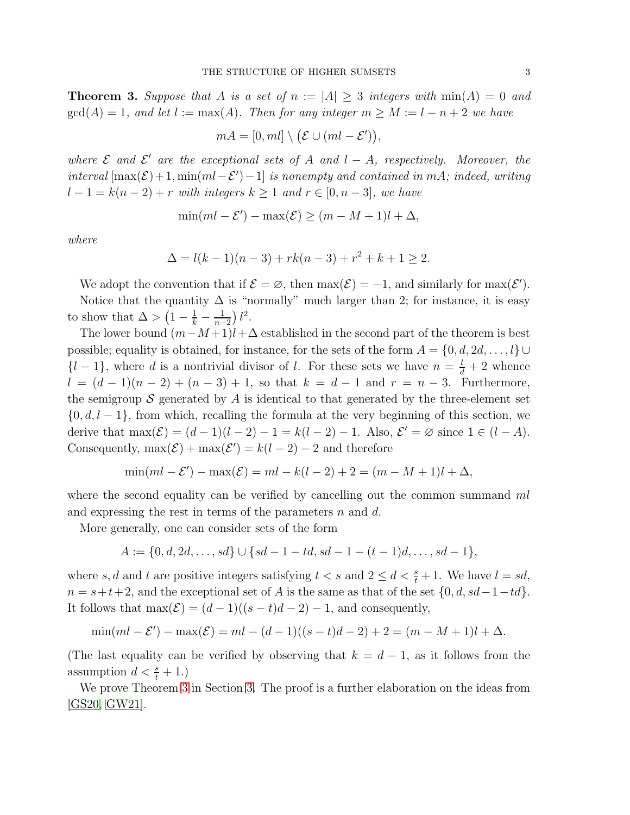<span id="page-2-0"></span>**Theorem 3.** Suppose that A is a set of  $n := |A| \geq 3$  integers with  $\min(A) = 0$  and  $gcd(A) = 1$ , and let  $l := max(A)$ . Then for any integer  $m \geq M := l - n + 2$  we have

$$
mA = [0, ml] \setminus (\mathcal{E} \cup (ml - \mathcal{E}')),
$$

where  $\mathcal E$  and  $\mathcal E'$  are the exceptional sets of A and  $l - A$ , respectively. Moreover, the interval  $[\max(\mathcal{E})+1, \min(ml-\mathcal{E}')-1]$  is nonempty and contained in mA; indeed, writing  $l-1 = k(n-2) + r$  with integers  $k \ge 1$  and  $r \in [0, n-3]$ , we have

$$
\min(ml - \mathcal{E}') - \max(\mathcal{E}) \ge (m - M + 1)l + \Delta,
$$

where

$$
\Delta = l(k-1)(n-3) + rk(n-3) + r^2 + k + 1 \ge 2.
$$

We adopt the convention that if  $\mathcal{E} = \emptyset$ , then  $\max(\mathcal{E}) = -1$ , and similarly for  $\max(\mathcal{E}')$ .

Notice that the quantity  $\Delta$  is "normally" much larger than 2; for instance, it is easy to show that  $\Delta > \left(1 - \frac{1}{k} - \frac{1}{n}\right)$  $\frac{1}{n-2}$ )  $l^2$ .

The lower bound  $(m-M+1)l+\Delta$  established in the second part of the theorem is best possible; equality is obtained, for instance, for the sets of the form  $A = \{0, d, 2d, \ldots, l\} \cup$  $\{l-1\}$ , where d is a nontrivial divisor of l. For these sets we have  $n = \frac{l}{d} + 2$  whence  $l = (d - 1)(n - 2) + (n - 3) + 1$ , so that  $k = d - 1$  and  $r = n - 3$ . Furthermore, the semigroup S generated by A is identical to that generated by the three-element set  $\{0, d, l-1\}$ , from which, recalling the formula at the very beginning of this section, we derive that  $\max(\mathcal{E}) = (d-1)(l-2) - 1 = k(l-2) - 1$ . Also,  $\mathcal{E}' = \emptyset$  since  $1 \in (l - A)$ . Consequently,  $\max(\mathcal{E}) + \max(\mathcal{E}') = k(l-2) - 2$  and therefore

$$
\min(ml - \mathcal{E}') - \max(\mathcal{E}) = ml - k(l - 2) + 2 = (m - M + 1)l + \Delta,
$$

where the second equality can be verified by cancelling out the common summand  $ml$ and expressing the rest in terms of the parameters  $n$  and  $d$ .

More generally, one can consider sets of the form

$$
A := \{0, d, 2d, \dots, sd\} \cup \{sd - 1 - td, sd - 1 - (t - 1)d, \dots, sd - 1\},\
$$

where s, d and t are positive integers satisfying  $t < s$  and  $2 \le d < \frac{s}{t} + 1$ . We have  $l = sd$ ,  $n = s+t+2$ , and the exceptional set of A is the same as that of the set  $\{0, d, sd-1-td\}$ . It follows that  $\max(\mathcal{E}) = (d-1)((s-t)d-2) - 1$ , and consequently,

$$
\min(ml - \mathcal{E}') - \max(\mathcal{E}) = ml - (d - 1)((s - t)d - 2) + 2 = (m - M + 1)l + \Delta.
$$

(The last equality can be verified by observing that  $k = d - 1$ , as it follows from the assumption  $d < \frac{s}{t} + 1$ .)

We prove Theorem [3](#page-2-0) in Section [3.](#page-5-0) The proof is a further elaboration on the ideas from [\[GS20,](#page-14-4) [GW21\]](#page-14-2).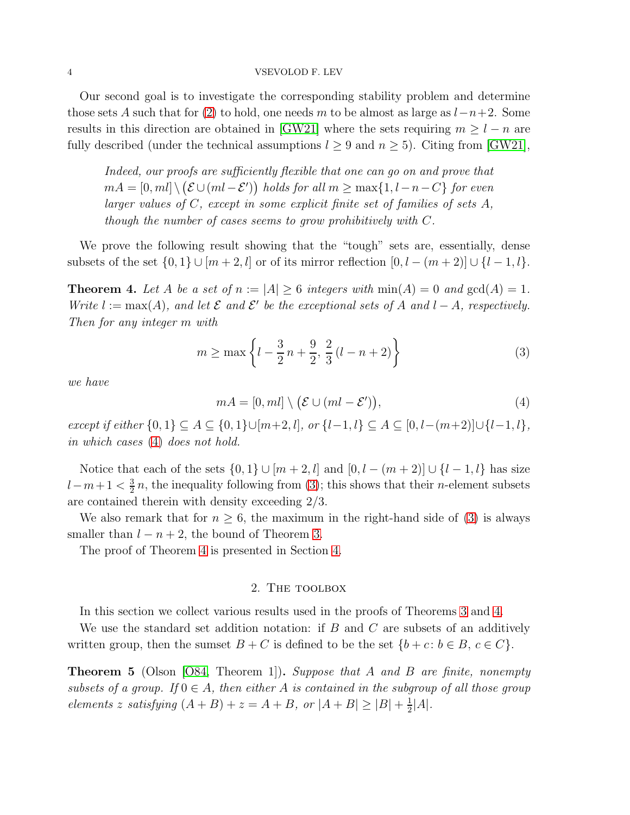Our second goal is to investigate the corresponding stability problem and determine those sets A such that for [\(2\)](#page-1-0) to hold, one needs m to be almost as large as  $l-n+2$ . Some results in this direction are obtained in [\[GW21\]](#page-14-2) where the sets requiring  $m \geq l - n$  are fully described (under the technical assumptions  $l \geq 9$  and  $n \geq 5$ ). Citing from [\[GW21\]](#page-14-2),

Indeed, our proofs are sufficiently flexible that one can go on and prove that  $mA = [0, ml] \setminus (\mathcal{E} \cup (ml - \mathcal{E}'))$  holds for all  $m \ge \max\{1, l-n-C\}$  for even larger values of C, except in some explicit finite set of families of sets A, though the number of cases seems to grow prohibitively with C.

We prove the following result showing that the "tough" sets are, essentially, dense subsets of the set  $\{0,1\} \cup [m+2, l]$  or of its mirror reflection  $[0, l - (m+2)] \cup \{l-1, l\}.$ 

<span id="page-3-2"></span>**Theorem 4.** Let A be a set of  $n := |A| \geq 6$  integers with  $\min(A) = 0$  and  $\gcd(A) = 1$ . Write  $l := max(A)$ , and let  $\mathcal E$  and  $\mathcal E'$  be the exceptional sets of A and  $l - A$ , respectively. Then for any integer m with

<span id="page-3-1"></span>
$$
m \ge \max\left\{l - \frac{3}{2}n + \frac{9}{2}, \frac{2}{3}(l - n + 2)\right\}
$$
 (3)

we have

<span id="page-3-0"></span>
$$
mA = [0, ml] \setminus (\mathcal{E} \cup (ml - \mathcal{E}'))\tag{4}
$$

except if either  $\{0,1\} \subseteq A \subseteq \{0,1\} \cup [m+2,l]$ , or  $\{l-1,l\} \subseteq A \subseteq [0,l-(m+2)] \cup \{l-1,l\}$ , in which cases [\(4\)](#page-3-0) does not hold.

Notice that each of the sets  $\{0, 1\} \cup [m + 2, l]$  and  $[0, l - (m + 2)] \cup \{l - 1, l\}$  has size  $l-m+1 < \frac{3}{2}$  $\frac{3}{2}n$ , the inequality following from [\(3\)](#page-3-1); this shows that their *n*-element subsets are contained therein with density exceeding 2/3.

We also remark that for  $n \geq 6$ , the maximum in the right-hand side of [\(3\)](#page-3-1) is always smaller than  $l - n + 2$ , the bound of Theorem [3.](#page-2-0)

The proof of Theorem [4](#page-3-2) is presented in Section [4.](#page-7-0)

## 2. The toolbox

In this section we collect various results used in the proofs of Theorems [3](#page-2-0) and [4.](#page-3-2)

We use the standard set addition notation: if  $B$  and  $C$  are subsets of an additively written group, then the sumset  $B + C$  is defined to be the set  $\{b + c : b \in B, c \in C\}$ .

**Theorem 5** (Olson [\[O84,](#page-14-5) Theorem 1]). Suppose that A and B are finite, nonempty subsets of a group. If  $0 \in A$ , then either A is contained in the subgroup of all those group elements z satisfying  $(A + B) + z = A + B$ , or  $|A + B| \ge |B| + \frac{1}{2}$  $\frac{1}{2}|A|.$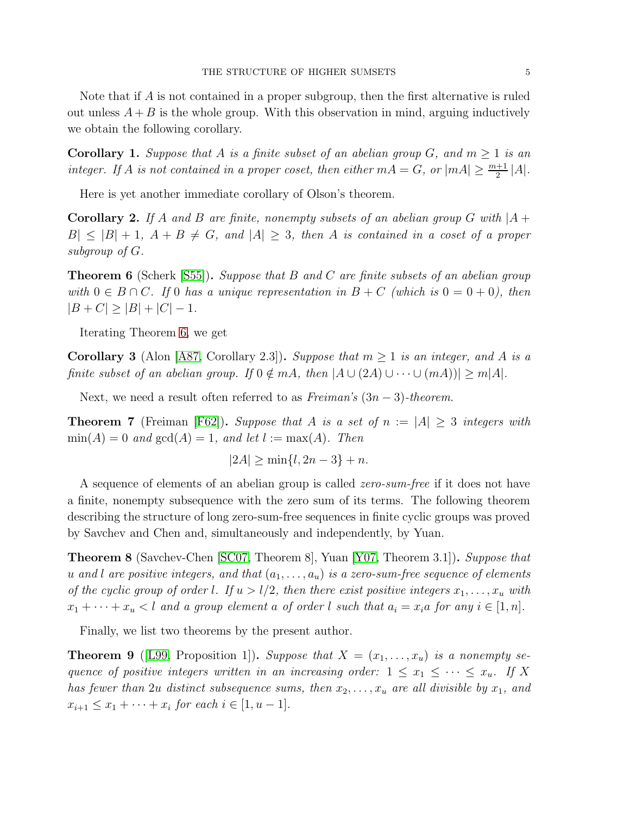Note that if A is not contained in a proper subgroup, then the first alternative is ruled out unless  $A + B$  is the whole group. With this observation in mind, arguing inductively we obtain the following corollary.

<span id="page-4-2"></span>**Corollary 1.** Suppose that A is a finite subset of an abelian group G, and  $m \ge 1$  is an integer. If A is not contained in a proper coset, then either  $mA = G$ , or  $|mA| \geq \frac{m+1}{2}|A|$ .

Here is yet another immediate corollary of Olson's theorem.

<span id="page-4-1"></span>**Corollary 2.** If A and B are finite, nonempty subsets of an abelian group G with  $|A|$  $|B| \leq |B| + 1$ ,  $A + B \neq G$ , and  $|A| \geq 3$ , then A is contained in a coset of a proper subgroup of G.

<span id="page-4-0"></span>**Theorem 6** (Scherk [\[S55\]](#page-14-6)). Suppose that B and C are finite subsets of an abelian group with  $0 \in B \cap C$ . If 0 has a unique representation in  $B + C$  (which is  $0 = 0 + 0$ ), then  $|B + C| \ge |B| + |C| - 1.$ 

Iterating Theorem [6,](#page-4-0) we get

<span id="page-4-6"></span>**Corollary 3** (Alon [\[A87,](#page-14-7) Corollary 2.3]). Suppose that  $m > 1$  is an integer, and A is a finite subset of an abelian group. If  $0 \notin mA$ , then  $|A \cup (2A) \cup \cdots \cup (mA))| \geq m|A|$ .

Next, we need a result often referred to as  $Freiman's (3n-3)-theorem$ .

<span id="page-4-3"></span>**Theorem 7** (Freiman [\[F62\]](#page-14-8)). Suppose that A is a set of  $n := |A| \geq 3$  integers with  $\min(A) = 0$  and  $\gcd(A) = 1$ , and let  $l := \max(A)$ . Then

$$
|2A| \ge \min\{l, 2n - 3\} + n.
$$

A sequence of elements of an abelian group is called *zero-sum-free* if it does not have a finite, nonempty subsequence with the zero sum of its terms. The following theorem describing the structure of long zero-sum-free sequences in finite cyclic groups was proved by Savchev and Chen and, simultaneously and independently, by Yuan.

<span id="page-4-4"></span>**Theorem 8** (Savchev-Chen [\[SC07,](#page-14-9) Theorem 8], Yuan [\[Y07,](#page-14-10) Theorem 3.1]). Suppose that u and l are positive integers, and that  $(a_1, \ldots, a_u)$  is a zero-sum-free sequence of elements of the cyclic group of order l. If  $u > l/2$ , then there exist positive integers  $x_1, \ldots, x_u$  with  $x_1 + \cdots + x_u < l$  and a group element a of order l such that  $a_i = x_i a$  for any  $i \in [1, n]$ .

Finally, we list two theorems by the present author.

<span id="page-4-5"></span>**Theorem 9** ([\[L99,](#page-14-11) Proposition 1]). Suppose that  $X = (x_1, \ldots, x_u)$  is a nonempty sequence of positive integers written in an increasing order:  $1 \leq x_1 \leq \cdots \leq x_u$ . If X has fewer than 2u distinct subsequence sums, then  $x_2, \ldots, x_u$  are all divisible by  $x_1$ , and  $x_{i+1} \leq x_1 + \cdots + x_i \text{ for each } i \in [1, u-1].$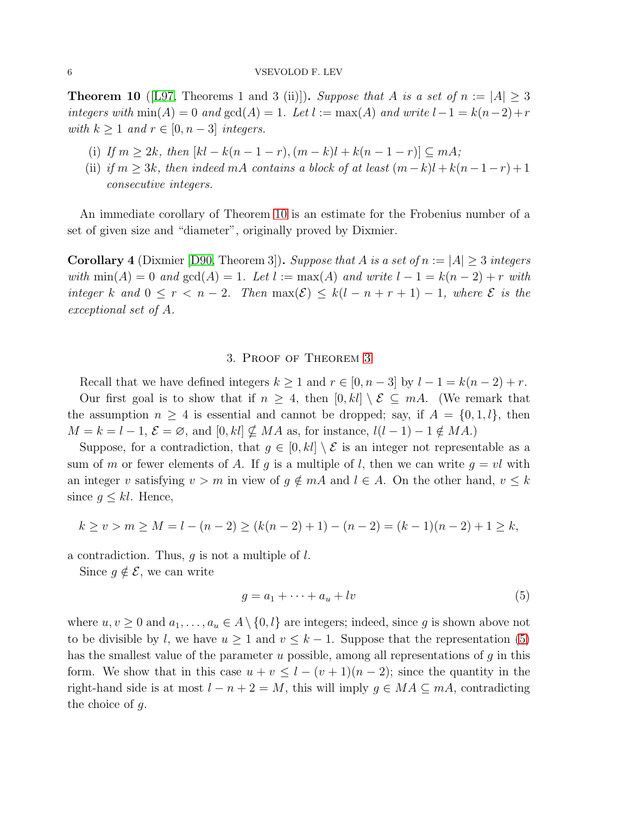<span id="page-5-1"></span>**Theorem 10** ([\[L97,](#page-14-12) Theorems 1 and 3 (ii)]). Suppose that A is a set of  $n := |A| \geq 3$ integers with  $min(A) = 0$  and  $gcd(A) = 1$ . Let  $l := max(A)$  and write  $l - 1 = k(n-2) + r$ with  $k \geq 1$  and  $r \in [0, n-3]$  integers.

- (i) If  $m \ge 2k$ , then  $[kl k(n 1 r), (m k)l + k(n 1 r)] \subseteq mA$ ;
- (ii) if  $m \geq 3k$ , then indeed mA contains a block of at least  $(m-k)l + k(n-1-r) + 1$ consecutive integers.

An immediate corollary of Theorem [10](#page-5-1) is an estimate for the Frobenius number of a set of given size and "diameter", originally proved by Dixmier.

<span id="page-5-3"></span>**Corollary 4** (Dixmier [\[D90,](#page-14-13) Theorem 3]). Suppose that A is a set of  $n := |A| \geq 3$  integers with  $\min(A) = 0$  and  $\gcd(A) = 1$ . Let  $l := \max(A)$  and write  $l - 1 = k(n - 2) + r$  with integer k and  $0 \leq r < n-2$ . Then  $\max(\mathcal{E}) \leq k(l-n+r+1)-1$ , where  $\mathcal E$  is the exceptional set of A.

# 3. Proof of Theorem [3](#page-2-0)

<span id="page-5-0"></span>Recall that we have defined integers  $k \ge 1$  and  $r \in [0, n-3]$  by  $l-1 = k(n-2) + r$ . Our first goal is to show that if  $n \geq 4$ , then  $[0, kl] \setminus \mathcal{E} \subseteq mA$ . (We remark that the assumption  $n \geq 4$  is essential and cannot be dropped; say, if  $A = \{0, 1, l\}$ , then  $M = k = l - 1, \mathcal{E} = \emptyset$ , and  $[0, kl] \not\subseteq MA$  as, for instance,  $l(l - 1) - 1 \notin MA$ .

Suppose, for a contradiction, that  $g \in [0, kl] \setminus \mathcal{E}$  is an integer not representable as a sum of m or fewer elements of A. If g is a multiple of l, then we can write  $g = vl$  with an integer v satisfying  $v > m$  in view of  $g \notin mA$  and  $l \in A$ . On the other hand,  $v \leq k$ since  $g \leq kl$ . Hence,

$$
k \ge v > m \ge M = l - (n - 2) \ge (k(n - 2) + 1) - (n - 2) = (k - 1)(n - 2) + 1 \ge k,
$$

a contradiction. Thus,  $q$  is not a multiple of  $l$ .

Since  $g \notin \mathcal{E}$ , we can write

<span id="page-5-2"></span>
$$
g = a_1 + \dots + a_u + l v \tag{5}
$$

where  $u, v \geq 0$  and  $a_1, \ldots, a_u \in A \setminus \{0, l\}$  are integers; indeed, since g is shown above not to be divisible by l, we have  $u \geq 1$  and  $v \leq k-1$ . Suppose that the representation [\(5\)](#page-5-2) has the smallest value of the parameter  $u$  possible, among all representations of  $g$  in this form. We show that in this case  $u + v \leq l - (v + 1)(n - 2)$ ; since the quantity in the right-hand side is at most  $l - n + 2 = M$ , this will imply  $g \in MA \subseteq mA$ , contradicting the choice of g.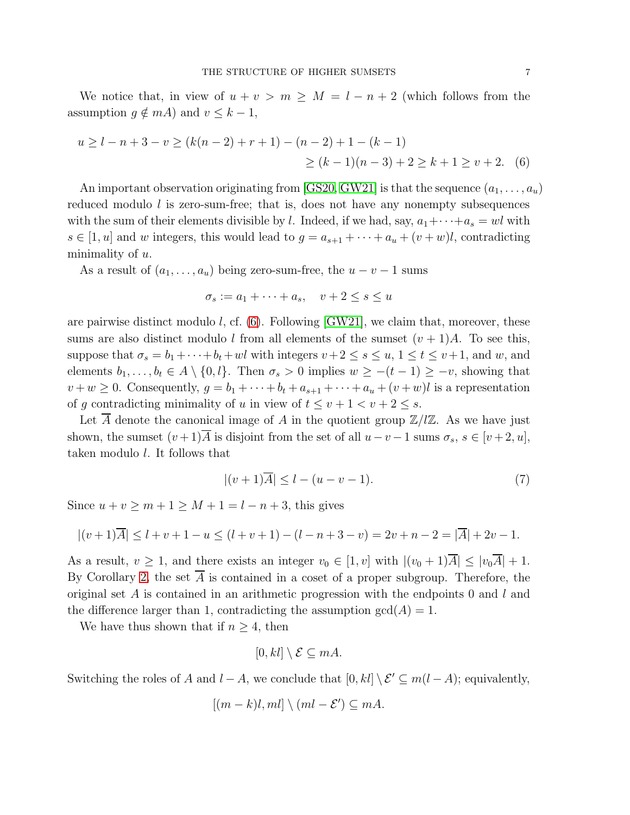We notice that, in view of  $u + v > m \geq M = l - n + 2$  (which follows from the assumption  $g \notin mA$ ) and  $v \leq k - 1$ ,

$$
u \ge l - n + 3 - v \ge (k(n - 2) + r + 1) - (n - 2) + 1 - (k - 1)
$$
  
 
$$
\ge (k - 1)(n - 3) + 2 \ge k + 1 \ge v + 2.
$$
 (6)

An important observation originating from [\[GS20,](#page-14-4) [GW21\]](#page-14-2) is that the sequence  $(a_1, \ldots, a_u)$ reduced modulo  $l$  is zero-sum-free; that is, does not have any nonempty subsequences with the sum of their elements divisible by l. Indeed, if we had, say,  $a_1 + \cdots + a_s = w^l$  with  $s \in [1, u]$  and w integers, this would lead to  $g = a_{s+1} + \cdots + a_u + (v + w)l$ , contradicting minimality of  $u$ .

As a result of  $(a_1, \ldots, a_u)$  being zero-sum-free, the  $u - v - 1$  sums

<span id="page-6-0"></span>
$$
\sigma_s := a_1 + \dots + a_s, \quad v + 2 \le s \le u
$$

are pairwise distinct modulo  $l$ , cf.  $(6)$ . Following [\[GW21\]](#page-14-2), we claim that, moreover, these sums are also distinct modulo l from all elements of the sumset  $(v + 1)A$ . To see this, suppose that  $\sigma_s = b_1 + \cdots + b_t + w^l$  with integers  $v+2 \leq s \leq u, 1 \leq t \leq v+1$ , and w, and elements  $b_1, \ldots, b_t \in A \setminus \{0, l\}$ . Then  $\sigma_s > 0$  implies  $w \ge -(t-1) \ge -v$ , showing that  $v + w \geq 0$ . Consequently,  $g = b_1 + \cdots + b_t + a_{s+1} + \cdots + a_u + (v + w)l$  is a representation of q contradicting minimality of u in view of  $t \leq v+1 \leq v+2 \leq s$ .

Let  $\overline{A}$  denote the canonical image of A in the quotient group  $\mathbb{Z}/l\mathbb{Z}$ . As we have just shown, the sumset  $(v+1)\overline{A}$  is disjoint from the set of all  $u-v-1$  sums  $\sigma_s$ ,  $s \in [v+2, u]$ , taken modulo l. It follows that

<span id="page-6-1"></span>
$$
|(v+1)\overline{A}| \le l - (u-v-1). \tag{7}
$$

Since  $u + v \ge m + 1 \ge M + 1 = l - n + 3$ , this gives

$$
|(v+1)\overline{A}| \le l+v+1-u \le (l+v+1)-(l-n+3-v) = 2v+n-2 = |\overline{A}|+2v-1.
$$

As a result,  $v \ge 1$ , and there exists an integer  $v_0 \in [1, v]$  with  $|(v_0 + 1)\overline{A}| \le |v_0\overline{A}| + 1$ . By Corollary [2,](#page-4-1) the set  $\overline{A}$  is contained in a coset of a proper subgroup. Therefore, the original set  $A$  is contained in an arithmetic progression with the endpoints 0 and  $l$  and the difference larger than 1, contradicting the assumption  $gcd(A) = 1$ .

We have thus shown that if  $n \geq 4$ , then

$$
[0,kl] \setminus \mathcal{E} \subseteq mA.
$$

Switching the roles of A and  $l - A$ , we conclude that  $[0, kl] \setminus \mathcal{E}' \subseteq m(l - A)$ ; equivalently,

$$
[(m-k)l, ml] \setminus (ml - \mathcal{E}') \subseteq mA.
$$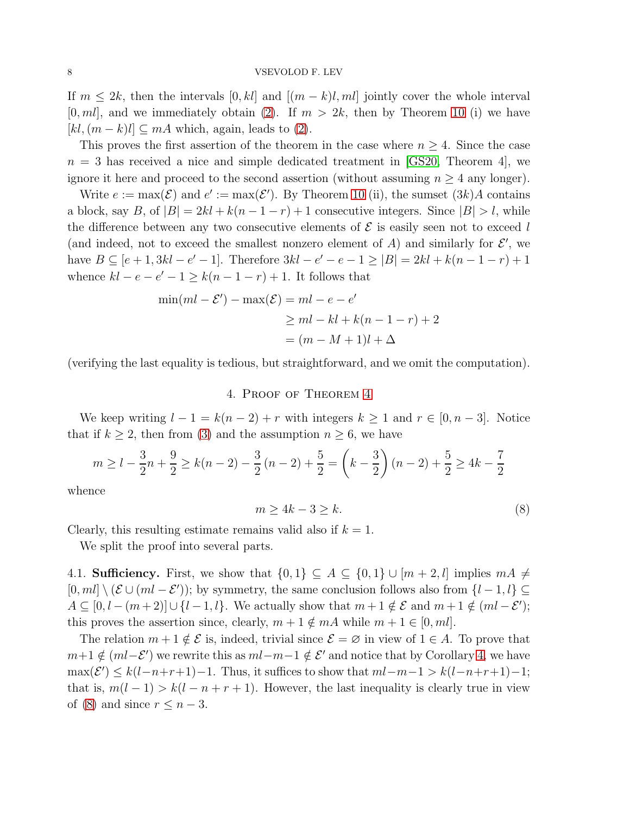If  $m \leq 2k$ , then the intervals  $[0, kl]$  and  $[(m - k)l, ml]$  jointly cover the whole interval  $[0, ml]$ , and we immediately obtain [\(2\)](#page-1-0). If  $m > 2k$ , then by Theorem [10](#page-5-1) (i) we have  $[kl,(m-k)l] \subseteq mA$  which, again, leads to [\(2\)](#page-1-0).

This proves the first assertion of the theorem in the case where  $n \geq 4$ . Since the case  $n = 3$  has received a nice and simple dedicated treatment in [\[GS20,](#page-14-4) Theorem 4], we ignore it here and proceed to the second assertion (without assuming  $n \geq 4$  any longer).

Write  $e := \max(\mathcal{E})$  and  $e' := \max(\mathcal{E}')$ . By Theorem [10](#page-5-1) (ii), the sumset  $(3k)A$  contains a block, say B, of  $|B| = 2kl + k(n - 1 - r) + 1$  consecutive integers. Since  $|B| > l$ , while the difference between any two consecutive elements of  $\mathcal E$  is easily seen not to exceed l (and indeed, not to exceed the smallest nonzero element of  $A$ ) and similarly for  $\mathcal{E}'$ , we have  $B \subseteq [e+1, 3kl - e' - 1]$ . Therefore  $3kl - e' - e - 1 \ge |B| = 2kl + k(n - 1 - r) + 1$ whence  $kl - e - e' - 1 \geq k(n - 1 - r) + 1$ . It follows that

$$
\min(ml - \mathcal{E}') - \max(\mathcal{E}) = ml - e - e'
$$
  
\n
$$
\ge ml - kl + k(n - 1 - r) + 2
$$
  
\n
$$
= (m - M + 1)l + \Delta
$$

<span id="page-7-0"></span>(verifying the last equality is tedious, but straightforward, and we omit the computation).

### 4. Proof of Theorem [4](#page-3-2)

We keep writing  $l - 1 = k(n - 2) + r$  with integers  $k \ge 1$  and  $r \in [0, n - 3]$ . Notice that if  $k \geq 2$ , then from [\(3\)](#page-3-1) and the assumption  $n \geq 6$ , we have

$$
m \ge l - \frac{3}{2}n + \frac{9}{2} \ge k(n-2) - \frac{3}{2}(n-2) + \frac{5}{2} = \left(k - \frac{3}{2}\right)(n-2) + \frac{5}{2} \ge 4k - \frac{7}{2}
$$

whence

<span id="page-7-1"></span>
$$
m \ge 4k - 3 \ge k. \tag{8}
$$

Clearly, this resulting estimate remains valid also if  $k = 1$ .

We split the proof into several parts.

4.1. **Sufficiency.** First, we show that  $\{0,1\} \subseteq A \subseteq \{0,1\} \cup [m+2, l]$  implies  $mA \neq$  $[0, ml] \setminus (\mathcal{E} \cup (ml - \mathcal{E}'))$ ; by symmetry, the same conclusion follows also from  $\{l - 1, l\} \subseteq$  $A \subseteq [0, l - (m+2)] \cup \{l-1, l\}$ . We actually show that  $m+1 \notin \mathcal{E}$  and  $m+1 \notin (ml-\mathcal{E}')$ ; this proves the assertion since, clearly,  $m + 1 \notin mA$  while  $m + 1 \in [0, ml]$ .

The relation  $m + 1 \notin \mathcal{E}$  is, indeed, trivial since  $\mathcal{E} = \emptyset$  in view of  $1 \in A$ . To prove that  $m+1 \notin (ml-\mathcal{E}')$  we rewrite this as  $ml-m-1 \notin \mathcal{E}'$  and notice that by Corollary [4,](#page-5-3) we have  $\max(\mathcal{E}') \leq k(l-n+r+1)-1$ . Thus, it suffices to show that  $ml-m-1 > k(l-n+r+1)-1$ ; that is,  $m(l-1) > k(l-n+r+1)$ . However, the last inequality is clearly true in view of [\(8\)](#page-7-1) and since  $r \leq n-3$ .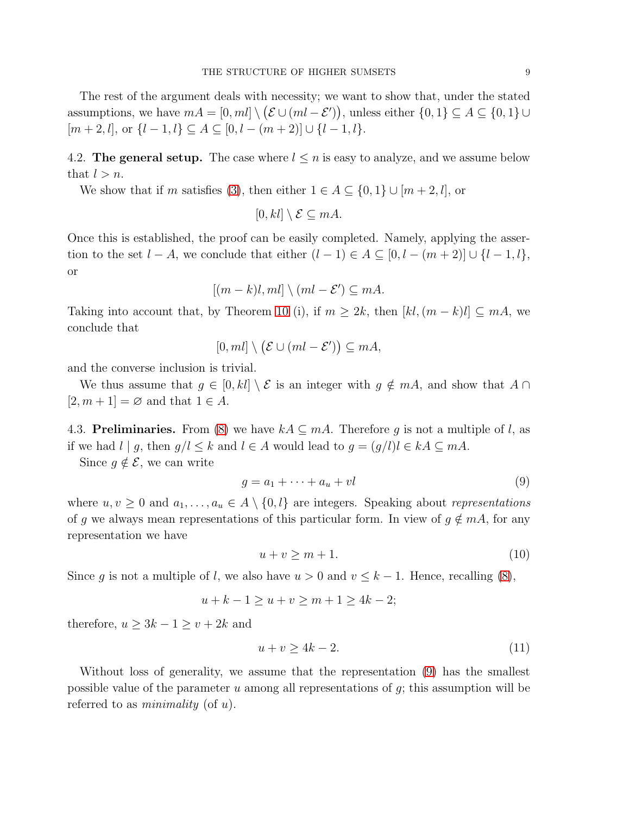The rest of the argument deals with necessity; we want to show that, under the stated assumptions, we have  $mA = [0, ml] \setminus (\mathcal{E} \cup (ml - \mathcal{E}'))$ , unless either  $\{0, 1\} \subseteq A \subseteq \{0, 1\} \cup$  $[m+2, l], \text{ or } \{l-1, l\} \subseteq A \subseteq [0, l - (m+2)] \cup \{l-1, l\}.$ 

4.2. The general setup. The case where  $l \leq n$  is easy to analyze, and we assume below that  $l > n$ .

We show that if m satisfies [\(3\)](#page-3-1), then either  $1 \in A \subseteq \{0,1\} \cup [m+2, l]$ , or

$$
[0,kl] \setminus \mathcal{E} \subseteq mA.
$$

Once this is established, the proof can be easily completed. Namely, applying the assertion to the set  $l - A$ , we conclude that either  $(l - 1) \in A \subseteq [0, l - (m + 2)] \cup \{l - 1, l\}$ , or

$$
[(m-k)l, ml] \setminus (ml - \mathcal{E}') \subseteq mA.
$$

Taking into account that, by Theorem [10](#page-5-1) (i), if  $m \geq 2k$ , then  $[kl,(m-k)l] \subseteq mA$ , we conclude that

$$
[0, ml] \setminus (\mathcal{E} \cup (ml - \mathcal{E}')) \subseteq mA,
$$

and the converse inclusion is trivial.

We thus assume that  $g \in [0, kl] \setminus \mathcal{E}$  is an integer with  $g \notin mA$ , and show that  $A \cap$  $[2, m + 1] = \emptyset$  and that  $1 \in A$ .

4.3. **Preliminaries.** From [\(8\)](#page-7-1) we have  $kA \subseteq mA$ . Therefore g is not a multiple of l, as if we had  $l | g$ , then  $g/l \leq k$  and  $l \in A$  would lead to  $g = (g/l)l \in kA \subseteq mA$ .

Since  $g \notin \mathcal{E}$ , we can write

<span id="page-8-0"></span>
$$
g = a_1 + \dots + a_u + vl \tag{9}
$$

where  $u, v \geq 0$  and  $a_1, \ldots, a_u \in A \setminus \{0, l\}$  are integers. Speaking about representations of g we always mean representations of this particular form. In view of  $g \notin mA$ , for any representation we have

<span id="page-8-1"></span>
$$
u + v \ge m + 1. \tag{10}
$$

Since g is not a multiple of l, we also have  $u > 0$  and  $v \leq k - 1$ . Hence, recalling [\(8\)](#page-7-1),

$$
u + k - 1 \ge u + v \ge m + 1 \ge 4k - 2;
$$

therefore,  $u \geq 3k - 1 \geq v + 2k$  and

<span id="page-8-2"></span>
$$
u + v \ge 4k - 2.\tag{11}
$$

Without loss of generality, we assume that the representation [\(9\)](#page-8-0) has the smallest possible value of the parameter  $u$  among all representations of  $g$ ; this assumption will be referred to as *minimality* (of  $u$ ).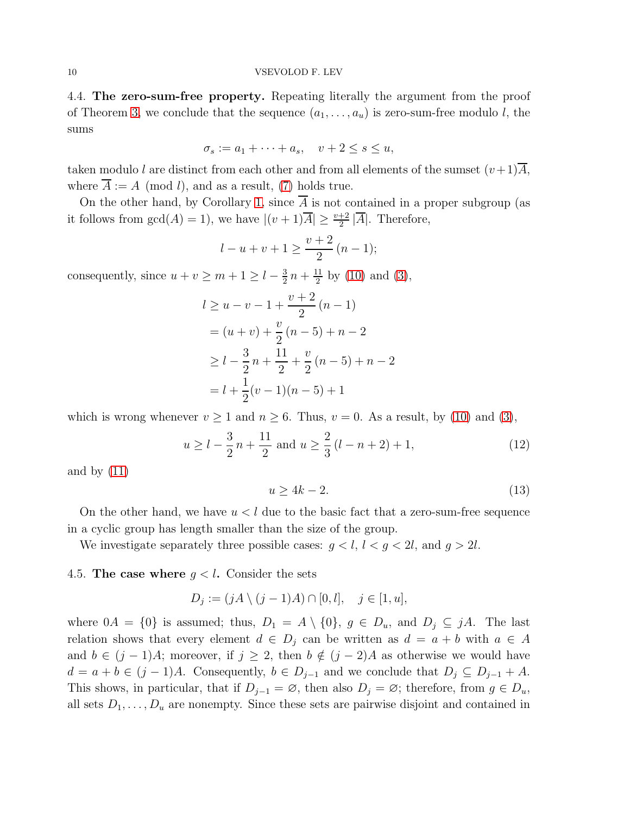4.4. The zero-sum-free property. Repeating literally the argument from the proof of Theorem [3,](#page-2-0) we conclude that the sequence  $(a_1, \ldots, a_u)$  is zero-sum-free modulo l, the sums

$$
\sigma_s := a_1 + \dots + a_s, \quad v + 2 \le s \le u,
$$

taken modulo l are distinct from each other and from all elements of the sumset  $(v+1)\overline{A}$ , where  $\overline{A} := A \pmod{l}$ , and as a result, [\(7\)](#page-6-1) holds true.

On the other hand, by Corollary [1,](#page-4-2) since A is not contained in a proper subgroup (as it follows from  $gcd(A) = 1$ , we have  $|(v + 1)\overline{A}| \ge \frac{v+2}{2} |\overline{A}|$ . Therefore,

$$
l - u + v + 1 \ge \frac{v + 2}{2} (n - 1);
$$

consequently, since  $u + v \ge m + 1 \ge l - \frac{3}{2}$  $\frac{3}{2}n + \frac{11}{2}$  $\frac{11}{2}$  by [\(10\)](#page-8-1) and [\(3\)](#page-3-1),

$$
l \ge u - v - 1 + \frac{v+2}{2}(n-1)
$$
  
=  $(u + v) + \frac{v}{2}(n-5) + n - 2$   
 $\ge l - \frac{3}{2}n + \frac{11}{2} + \frac{v}{2}(n-5) + n - 2$   
=  $l + \frac{1}{2}(v-1)(n-5) + 1$ 

which is wrong whenever  $v \ge 1$  and  $n \ge 6$ . Thus,  $v = 0$ . As a result, by [\(10\)](#page-8-1) and [\(3\)](#page-3-1),

<span id="page-9-0"></span>
$$
u \ge l - \frac{3}{2}n + \frac{11}{2}
$$
 and  $u \ge \frac{2}{3}(l - n + 2) + 1,$  (12)

and by  $(11)$ 

<span id="page-9-1"></span>
$$
u \ge 4k - 2.\tag{13}
$$

On the other hand, we have  $u < l$  due to the basic fact that a zero-sum-free sequence in a cyclic group has length smaller than the size of the group.

We investigate separately three possible cases:  $g < l, l < g < 2l$ , and  $g > 2l$ .

# 4.5. The case where  $g < l$ . Consider the sets

$$
D_j := (jA \setminus (j-1)A) \cap [0, l], \quad j \in [1, u],
$$

where  $0A = \{0\}$  is assumed; thus,  $D_1 = A \setminus \{0\}$ ,  $g \in D_u$ , and  $D_j \subseteq jA$ . The last relation shows that every element  $d \in D_i$  can be written as  $d = a + b$  with  $a \in A$ and  $b \in (j-1)A$ ; moreover, if  $j \geq 2$ , then  $b \notin (j-2)A$  as otherwise we would have  $d = a + b \in (j-1)A$ . Consequently,  $b \in D_{j-1}$  and we conclude that  $D_j \subseteq D_{j-1} + A$ . This shows, in particular, that if  $D_{j-1} = \emptyset$ , then also  $D_j = \emptyset$ ; therefore, from  $g \in D_u$ , all sets  $D_1, \ldots, D_u$  are nonempty. Since these sets are pairwise disjoint and contained in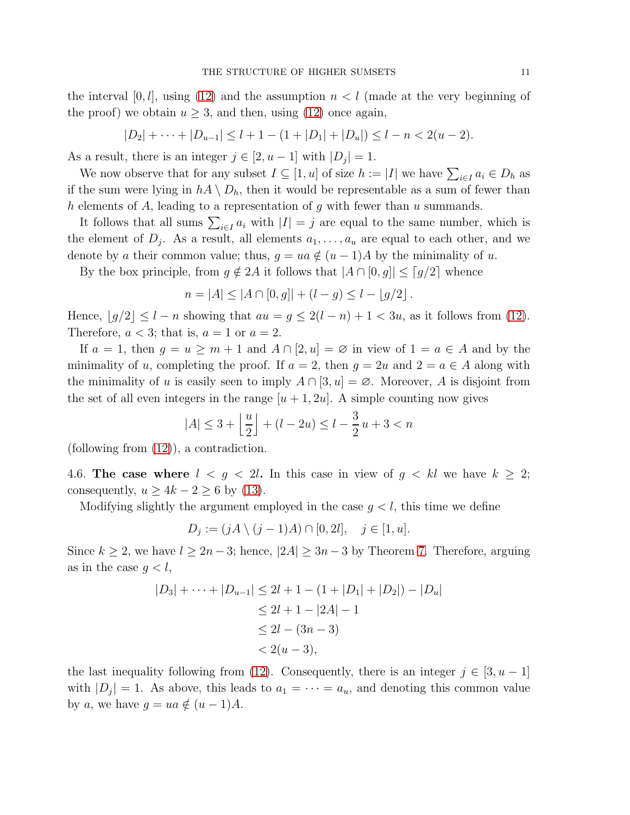the interval  $[0, l]$ , using [\(12\)](#page-9-0) and the assumption  $n < l$  (made at the very beginning of the proof) we obtain  $u \geq 3$ , and then, using [\(12\)](#page-9-0) once again,

$$
|D_2| + \cdots + |D_{u-1}| \le l + 1 - (1 + |D_1| + |D_u|) \le l - n < 2(u - 2).
$$

As a result, there is an integer  $j \in [2, u-1]$  with  $|D_j| = 1$ .

We now observe that for any subset  $I \subseteq [1, u]$  of size  $h := |I|$  we have  $\sum_{i \in I} a_i \in D_h$  as if the sum were lying in  $hA \setminus D_h$ , then it would be representable as a sum of fewer than h elements of A, leading to a representation of g with fewer than u summands.

It follows that all sums  $\sum_{i\in I} a_i$  with  $|I|=j$  are equal to the same number, which is the element of  $D_j$ . As a result, all elements  $a_1, \ldots, a_u$  are equal to each other, and we denote by a their common value; thus,  $q = ua \notin (u - 1)A$  by the minimality of u.

By the box principle, from  $g \notin 2A$  it follows that  $|A \cap [0, g]| \leq [g/2]$  whence

$$
n = |A| \le |A \cap [0, g]| + (l - g) \le l - \lfloor g/2 \rfloor.
$$

Hence,  $\lfloor g/2 \rfloor \leq l - n$  showing that  $au = g \leq 2(l - n) + 1 < 3u$ , as it follows from [\(12\)](#page-9-0). Therefore,  $a < 3$ ; that is,  $a = 1$  or  $a = 2$ .

If  $a = 1$ , then  $g = u \ge m + 1$  and  $A \cap [2, u] = \emptyset$  in view of  $1 = a \in A$  and by the minimality of u, completing the proof. If  $a = 2$ , then  $g = 2u$  and  $2 = a \in A$  along with the minimality of u is easily seen to imply  $A \cap [3, u] = \emptyset$ . Moreover, A is disjoint from the set of all even integers in the range  $[u + 1, 2u]$ . A simple counting now gives

$$
|A| \le 3 + \left\lfloor \frac{u}{2} \right\rfloor + (l - 2u) \le l - \frac{3}{2}u + 3 < n
$$

(following from [\(12\)](#page-9-0)), a contradiction.

4.6. The case where  $l \leq g \leq 2l$ . In this case in view of  $g \leq kl$  we have  $k \geq 2$ ; consequently,  $u \ge 4k - 2 \ge 6$  by [\(13\)](#page-9-1).

Modifying slightly the argument employed in the case  $q < l$ , this time we define

 $D_j := (jA \setminus (j-1)A) \cap [0,2l], \quad j \in [1,u].$ 

Since  $k \geq 2$ , we have  $l \geq 2n-3$ ; hence,  $|2A| \geq 3n-3$  by Theorem [7.](#page-4-3) Therefore, arguing as in the case  $q < l$ ,

$$
|D_3| + \dots + |D_{u-1}| \le 2l + 1 - (1 + |D_1| + |D_2|) - |D_u|
$$
  
\n
$$
\le 2l + 1 - |2A| - 1
$$
  
\n
$$
\le 2l - (3n - 3)
$$
  
\n
$$
< 2(u - 3),
$$

the last inequality following from [\(12\)](#page-9-0). Consequently, there is an integer  $j \in [3, u - 1]$ with  $|D_j| = 1$ . As above, this leads to  $a_1 = \cdots = a_u$ , and denoting this common value by a, we have  $g = ua \notin (u - 1)A$ .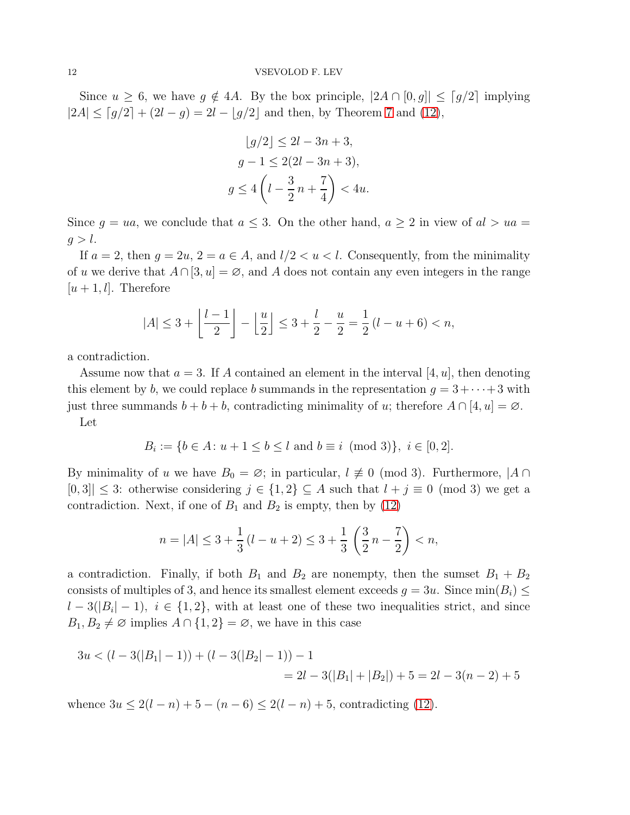Since  $u \geq 6$ , we have  $g \notin 4A$ . By the box principle,  $|2A \cap [0, g]| \leq [g/2]$  implying  $|2A| \leq [g/2] + (2l - g) = 2l - [g/2]$  and then, by Theorem [7](#page-4-3) and [\(12\)](#page-9-0),

$$
\lfloor g/2 \rfloor \le 2l - 3n + 3,
$$
  
\n
$$
g - 1 \le 2(2l - 3n + 3),
$$
  
\n
$$
g \le 4\left(l - \frac{3}{2}n + \frac{7}{4}\right) < 4u.
$$

Since  $g = ua$ , we conclude that  $a \leq 3$ . On the other hand,  $a \geq 2$  in view of  $al > ua =$  $g > l$ .

If  $a = 2$ , then  $g = 2u$ ,  $2 = a \in A$ , and  $l/2 < u < l$ . Consequently, from the minimality of u we derive that  $A \cap [3, u] = \emptyset$ , and A does not contain any even integers in the range  $[u + 1, l]$ . Therefore

$$
|A| \le 3 + \left\lfloor \frac{l-1}{2} \right\rfloor - \left\lfloor \frac{u}{2} \right\rfloor \le 3 + \frac{l}{2} - \frac{u}{2} = \frac{1}{2}(l - u + 6) < n,
$$

a contradiction.

Assume now that  $a = 3$ . If A contained an element in the interval [4, u], then denoting this element by b, we could replace b summands in the representation  $g = 3 + \cdots + 3$  with just three summands  $b + b + b$ , contradicting minimality of u; therefore  $A \cap [4, u] = \emptyset$ . Let

$$
B_i := \{ b \in A \colon u + 1 \le b \le l \text{ and } b \equiv i \pmod{3} \}, i \in [0, 2].
$$

By minimality of u we have  $B_0 = \emptyset$ ; in particular,  $l \not\equiv 0 \pmod{3}$ . Furthermore,  $|A \cap$  $[0,3] \leq 3$ : otherwise considering  $j \in \{1,2\} \subseteq A$  such that  $l+j \equiv 0 \pmod{3}$  we get a contradiction. Next, if one of  $B_1$  and  $B_2$  is empty, then by [\(12\)](#page-9-0)

$$
n=|A|\leq 3+\frac{1}{3}\left( l-u+2\right) \leq 3+\frac{1}{3}\,\left( \frac{3}{2}\,n-\frac{7}{2}\right)
$$

a contradiction. Finally, if both  $B_1$  and  $B_2$  are nonempty, then the sumset  $B_1 + B_2$ consists of multiples of 3, and hence its smallest element exceeds  $g = 3u$ . Since  $\min(B_i) \le$  $l-3(|B_i|-1)$ ,  $i \in \{1,2\}$ , with at least one of these two inequalities strict, and since  $B_1, B_2 \neq \emptyset$  implies  $A \cap \{1,2\} = \emptyset$ , we have in this case

$$
3u < (l - 3(|B_1| - 1)) + (l - 3(|B_2| - 1)) - 1
$$
  
= 2l - 3(|B\_1| + |B\_2|) + 5 = 2l - 3(n - 2) + 5

whence  $3u \leq 2(l-n)+5-(n-6) \leq 2(l-n)+5$ , contradicting [\(12\)](#page-9-0).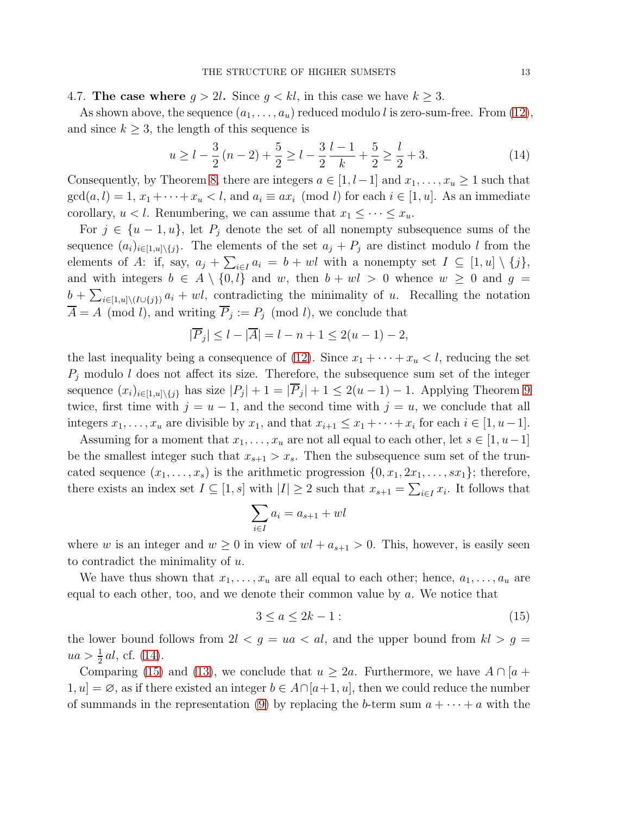4.7. The case where  $g > 2l$ . Since  $g < kl$ , in this case we have  $k \geq 3$ .

As shown above, the sequence  $(a_1, \ldots, a_u)$  reduced modulo l is zero-sum-free. From [\(12\)](#page-9-0), and since  $k \geq 3$ , the length of this sequence is

<span id="page-12-0"></span>
$$
u \ge l - \frac{3}{2}(n-2) + \frac{5}{2} \ge l - \frac{3}{2}\frac{l-1}{k} + \frac{5}{2} \ge \frac{l}{2} + 3. \tag{14}
$$

Consequently, by Theorem [8,](#page-4-4) there are integers  $a \in [1, l-1]$  and  $x_1, \ldots, x_u \geq 1$  such that  $gcd(a, l) = 1, x_1 + \cdots + x_u < l$ , and  $a_i \equiv ax_i \pmod{l}$  for each  $i \in [1, u]$ . As an immediate corollary,  $u < l$ . Renumbering, we can assume that  $x_1 \leq \cdots \leq x_u$ .

For  $j \in \{u-1, u\}$ , let  $P_j$  denote the set of all nonempty subsequence sums of the sequence  $(a_i)_{i\in[1,u]\setminus\{j\}}$ . The elements of the set  $a_j + P_j$  are distinct modulo l from the elements of A: if, say,  $a_j + \sum_{i \in I} a_i = b + \text{wl}$  with a nonempty set  $I \subseteq [1, u] \setminus \{j\},$ and with integers  $b \in A \setminus \{0, l\}$  and w, then  $b + w \geq 0$  whence  $w \geq 0$  and  $g =$  $b + \sum_{i \in [1,u] \setminus (I \cup \{j\})} a_i + w_i$ , contradicting the minimality of u. Recalling the notation  $A = A \pmod{l}$ , and writing  $P_j := P_j \pmod{l}$ , we conclude that

$$
|\overline{P}_j| \le l - |\overline{A}| = l - n + 1 \le 2(u - 1) - 2,
$$

the last inequality being a consequence of [\(12\)](#page-9-0). Since  $x_1 + \cdots + x_u < l$ , reducing the set  $P_i$  modulo l does not affect its size. Therefore, the subsequence sum set of the integer sequence  $(x_i)_{i\in[1,u]\setminus\{j\}}$  has size  $|P_j|+1=|P_j|+1\leq 2(u-1)-1$ . Applying Theorem [9](#page-4-5) twice, first time with  $j = u - 1$ , and the second time with  $j = u$ , we conclude that all integers  $x_1, \ldots, x_u$  are divisible by  $x_1$ , and that  $x_{i+1} \le x_1 + \cdots + x_i$  for each  $i \in [1, u-1]$ .

Assuming for a moment that  $x_1, \ldots, x_u$  are not all equal to each other, let  $s \in [1, u-1]$ be the smallest integer such that  $x_{s+1} > x_s$ . Then the subsequence sum set of the truncated sequence  $(x_1, \ldots, x_s)$  is the arithmetic progression  $\{0, x_1, 2x_1, \ldots, sx_1\}$ ; therefore, there exists an index set  $I \subseteq [1, s]$  with  $|I| \geq 2$  such that  $x_{s+1} = \sum_{i \in I} x_i$ . It follows that

$$
\sum_{i \in I} a_i = a_{s+1} + w l
$$

where w is an integer and  $w \ge 0$  in view of  $wl + a_{s+1} > 0$ . This, however, is easily seen to contradict the minimality of u.

We have thus shown that  $x_1, \ldots, x_u$  are all equal to each other; hence,  $a_1, \ldots, a_u$  are equal to each other, too, and we denote their common value by  $a$ . We notice that

<span id="page-12-1"></span>
$$
3 \le a \le 2k - 1: \tag{15}
$$

the lower bound follows from  $2l < g = ua < al$ , and the upper bound from  $kl > g =$  $ua > \frac{1}{2} al$ , cf. [\(14\)](#page-12-0).

Comparing [\(15\)](#page-12-1) and [\(13\)](#page-9-1), we conclude that  $u \geq 2a$ . Furthermore, we have  $A \cap [a +$  $1, u = \emptyset$ , as if there existed an integer  $b \in A \cap [a+1, u]$ , then we could reduce the number of summands in the representation [\(9\)](#page-8-0) by replacing the b-term sum  $a + \cdots + a$  with the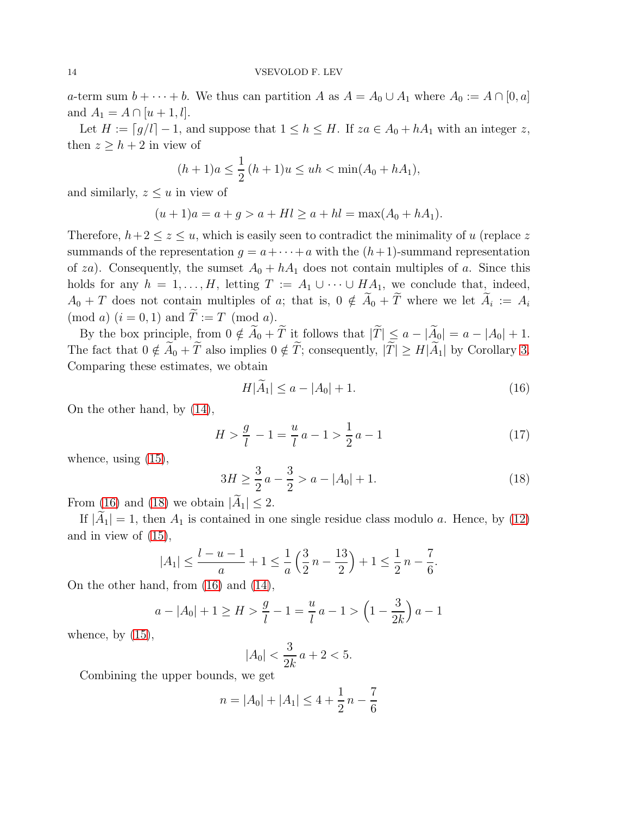a-term sum  $b + \cdots + b$ . We thus can partition A as  $A = A_0 \cup A_1$  where  $A_0 := A \cap [0, a]$ and  $A_1 = A \cap [u+1, l].$ 

Let  $H := \lceil g/l \rceil - 1$ , and suppose that  $1 \leq h \leq H$ . If  $za \in A_0 + hA_1$  with an integer z, then  $z \geq h + 2$  in view of

$$
(h+1)a \le \frac{1}{2}(h+1)u \le uh < \min(A_0 + hA_1),
$$

and similarly,  $z \leq u$  in view of

$$
(u+1)a = a + g > a + Hl \ge a + hl = \max(A_0 + hA_1).
$$

Therefore,  $h+2 \leq z \leq u$ , which is easily seen to contradict the minimality of u (replace z summands of the representation  $g = a + \cdots + a$  with the  $(h+1)$ -summand representation of za). Consequently, the sumset  $A_0 + hA_1$  does not contain multiples of a. Since this holds for any  $h = 1, ..., H$ , letting  $T := A_1 \cup \cdots \cup HA_1$ , we conclude that, indeed,  $A_0 + T$  does not contain multiples of a; that is,  $0 \notin A_0 + T$  where we let  $A_i := A_i$ (mod a)  $(i = 0, 1)$  and  $\overline{T} := T \pmod{a}$ .

By the box principle, from  $0 \notin \widetilde{A}_0 + \widetilde{T}$  it follows that  $|\widetilde{T}| \le a - |\widetilde{A}_0| = a - |A_0| + 1$ . The fact that  $0 \notin \widetilde{A}_0 + \widetilde{T}$  also implies  $0 \notin \widetilde{T}$ ; consequently,  $|\widetilde{T}| \geq H|\widetilde{A}_1|$  by Corollary [3.](#page-4-6) Comparing these estimates, we obtain

<span id="page-13-0"></span>
$$
H|\hat{A}_1| \le a - |A_0| + 1. \tag{16}
$$

On the other hand, by [\(14\)](#page-12-0),

<span id="page-13-2"></span>
$$
H > \frac{g}{l} - 1 = \frac{u}{l}a - 1 > \frac{1}{2}a - 1
$$
\n(17)

whence, using [\(15\)](#page-12-1),

<span id="page-13-1"></span>
$$
3H \ge \frac{3}{2}a - \frac{3}{2} > a - |A_0| + 1. \tag{18}
$$

From [\(16\)](#page-13-0) and [\(18\)](#page-13-1) we obtain  $|\tilde{A}_1| \leq 2$ .

If  $|A_1| = 1$ , then  $A_1$  is contained in one single residue class modulo a. Hence, by [\(12\)](#page-9-0) and in view of [\(15\)](#page-12-1),

$$
|A_1| \le \frac{l-u-1}{a} + 1 \le \frac{1}{a} \left(\frac{3}{2}n - \frac{13}{2}\right) + 1 \le \frac{1}{2}n - \frac{7}{6}.
$$

On the other hand, from [\(16\)](#page-13-0) and [\(14\)](#page-12-0),

$$
a - |A_0| + 1 \ge H > \frac{g}{l} - 1 = \frac{u}{l} a - 1 > \left(1 - \frac{3}{2k}\right) a - 1
$$

whence, by  $(15)$ ,

$$
|A_0| < \frac{3}{2k} \, a + 2 < 5.
$$

Combining the upper bounds, we get

$$
n = |A_0| + |A_1| \le 4 + \frac{1}{2}n - \frac{7}{6}
$$